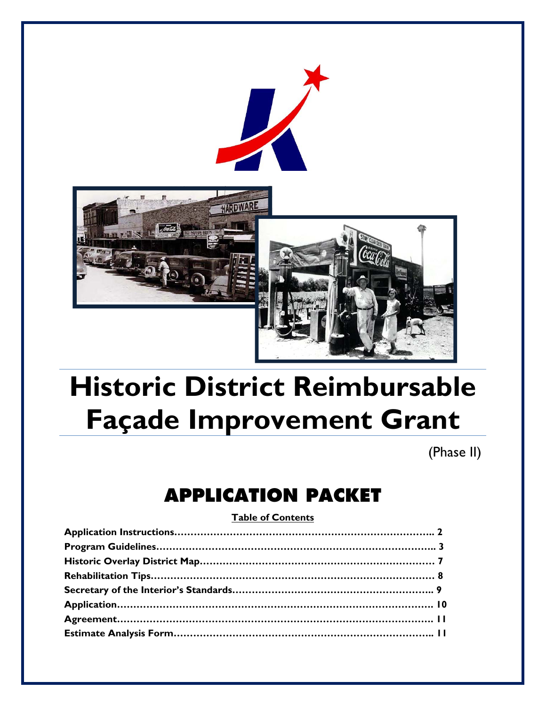



# **Historic District Reimbursable Façade Improvement Grant**

(Phase II)

# **APPLICATION PACKET**

#### **Table of Contents**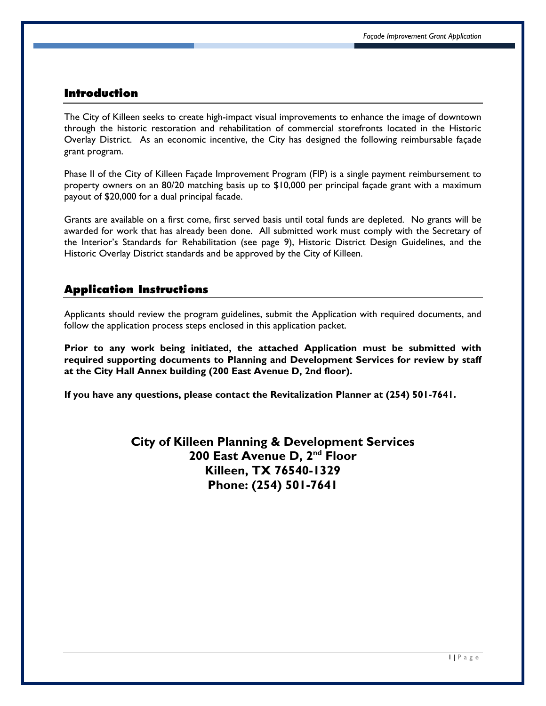#### **Introduction**

The City of Killeen seeks to create high-impact visual improvements to enhance the image of downtown through the historic restoration and rehabilitation of commercial storefronts located in the Historic Overlay District. As an economic incentive, the City has designed the following reimbursable façade grant program.

Phase II of the City of Killeen Façade Improvement Program (FIP) is a single payment reimbursement to property owners on an 80/20 matching basis up to \$10,000 per principal façade grant with a maximum payout of \$20,000 for a dual principal facade.

Grants are available on a first come, first served basis until total funds are depleted. No grants will be awarded for work that has already been done. All submitted work must comply with the Secretary of the Interior's Standards for Rehabilitation (see page 9), Historic District Design Guidelines, and the Historic Overlay District standards and be approved by the City of Killeen.

#### **Application Instructions**

Applicants should review the program guidelines, submit the Application with required documents, and follow the application process steps enclosed in this application packet.

**Prior to any work being initiated, the attached Application must be submitted with required supporting documents to Planning and Development Services for review by staff at the City Hall Annex building (200 East Avenue D, 2nd floor).** 

**If you have any questions, please contact the Revitalization Planner at (254) 501-7641.** 

**City of Killeen Planning & Development Services 200 East Avenue D, 2nd Floor Killeen, TX 76540-1329 Phone: (254) 501-7641**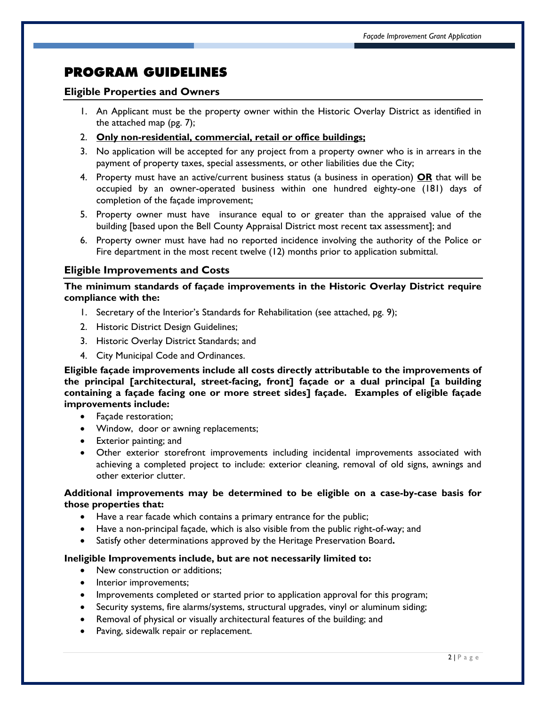# **PROGRAM GUIDELINES**

#### **Eligible Properties and Owners**

- 1. An Applicant must be the property owner within the Historic Overlay District as identified in the attached map (pg. 7);
- 2. **Only non-residential, commercial, retail or office buildings;**
- 3. No application will be accepted for any project from a property owner who is in arrears in the payment of property taxes, special assessments, or other liabilities due the City;
- 4. Property must have an active/current business status (a business in operation) **OR** that will be occupied by an owner-operated business within one hundred eighty-one (181) days of completion of the façade improvement;
- 5. Property owner must have insurance equal to or greater than the appraised value of the building [based upon the Bell County Appraisal District most recent tax assessment]; and
- 6. Property owner must have had no reported incidence involving the authority of the Police or Fire department in the most recent twelve (12) months prior to application submittal.

#### **Eligible Improvements and Costs**

**The minimum standards of façade improvements in the Historic Overlay District require compliance with the:** 

- 1. Secretary of the Interior's Standards for Rehabilitation (see attached, pg. 9);
- 2. Historic District Design Guidelines;
- 3. Historic Overlay District Standards; and
- 4. City Municipal Code and Ordinances.

**Eligible façade improvements include all costs directly attributable to the improvements of the principal [architectural, street-facing, front] façade or a dual principal [a building containing a façade facing one or more street sides] façade. Examples of eligible façade improvements include:** 

- Façade restoration;
- Window, door or awning replacements;
- Exterior painting; and
- Other exterior storefront improvements including incidental improvements associated with achieving a completed project to include: exterior cleaning, removal of old signs, awnings and other exterior clutter.

#### **Additional improvements may be determined to be eligible on a case-by-case basis for those properties that:**

- Have a rear facade which contains a primary entrance for the public;
- Have a non-principal façade, which is also visible from the public right-of-way; and
- Satisfy other determinations approved by the Heritage Preservation Board**.**

#### **Ineligible Improvements include, but are not necessarily limited to:**

- New construction or additions;
- Interior improvements;
- Improvements completed or started prior to application approval for this program;
- Security systems, fire alarms/systems, structural upgrades, vinyl or aluminum siding;
- Removal of physical or visually architectural features of the building; and
- Paving, sidewalk repair or replacement.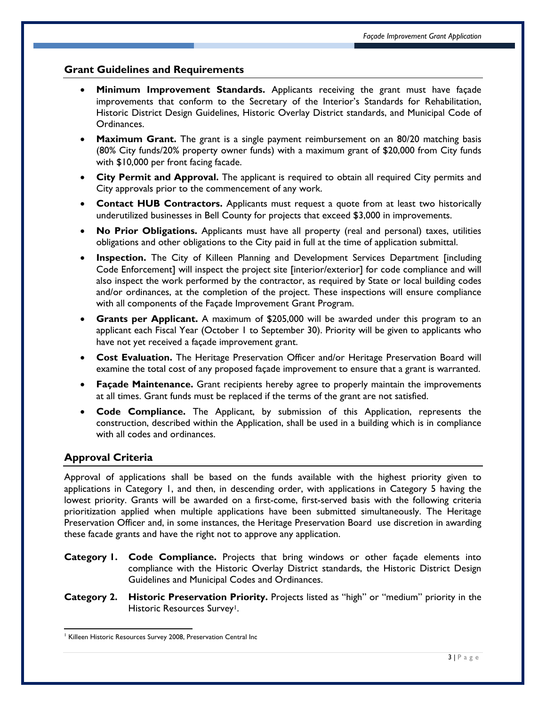#### **Grant Guidelines and Requirements**

- **Minimum Improvement Standards.** Applicants receiving the grant must have façade improvements that conform to the Secretary of the Interior's Standards for Rehabilitation, Historic District Design Guidelines, Historic Overlay District standards, and Municipal Code of Ordinances.
- **Maximum Grant.** The grant is a single payment reimbursement on an 80/20 matching basis (80% City funds/20% property owner funds) with a maximum grant of \$20,000 from City funds with \$10,000 per front facing facade.
- **City Permit and Approval.** The applicant is required to obtain all required City permits and City approvals prior to the commencement of any work.
- **Contact HUB Contractors.** Applicants must request a quote from at least two historically underutilized businesses in Bell County for projects that exceed \$3,000 in improvements.
- **No Prior Obligations.** Applicants must have all property (real and personal) taxes, utilities obligations and other obligations to the City paid in full at the time of application submittal.
- **Inspection.** The City of Killeen Planning and Development Services Department [including Code Enforcement] will inspect the project site [interior/exterior] for code compliance and will also inspect the work performed by the contractor, as required by State or local building codes and/or ordinances, at the completion of the project. These inspections will ensure compliance with all components of the Façade Improvement Grant Program.
- **Grants per Applicant.** A maximum of \$205,000 will be awarded under this program to an applicant each Fiscal Year (October 1 to September 30). Priority will be given to applicants who have not yet received a façade improvement grant.
- **Cost Evaluation.** The Heritage Preservation Officer and/or Heritage Preservation Board will examine the total cost of any proposed façade improvement to ensure that a grant is warranted.
- **Façade Maintenance.** Grant recipients hereby agree to properly maintain the improvements at all times. Grant funds must be replaced if the terms of the grant are not satisfied.
- **Code Compliance.** The Applicant, by submission of this Application, represents the construction, described within the Application, shall be used in a building which is in compliance with all codes and ordinances.

#### **Approval Criteria**

Approval of applications shall be based on the funds available with the highest priority given to applications in Category 1, and then, in descending order, with applications in Category 5 having the lowest priority. Grants will be awarded on a first-come, first-served basis with the following criteria prioritization applied when multiple applications have been submitted simultaneously. The Heritage Preservation Officer and, in some instances, the Heritage Preservation Board use discretion in awarding these facade grants and have the right not to approve any application.

- **Category 1. Code Compliance.** Projects that bring windows or other façade elements into compliance with the Historic Overlay District standards, the Historic District Design Guidelines and Municipal Codes and Ordinances.
- **Category 2. Historic Preservation Priority.** Projects listed as "high" or "medium" priority in the Historic Resources Survey<sup>1</sup>.

 <sup>1</sup> Killeen Historic Resources Survey 2008, Preservation Central Inc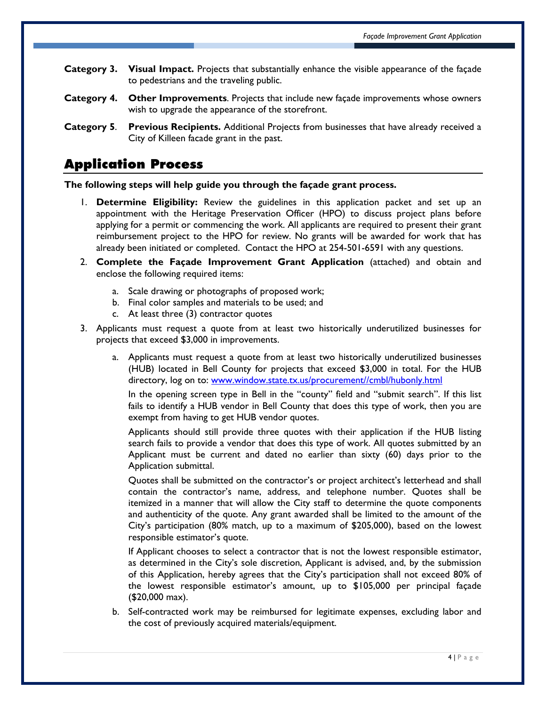- **Category 3. Visual Impact.** Projects that substantially enhance the visible appearance of the façade to pedestrians and the traveling public.
- **Category 4. Other Improvements**. Projects that include new façade improvements whose owners wish to upgrade the appearance of the storefront.
- **Category 5**. **Previous Recipients.** Additional Projects from businesses that have already received a City of Killeen facade grant in the past.

## **Application Process**

**The following steps will help guide you through the façade grant process.** 

- 1. **Determine Eligibility:** Review the guidelines in this application packet and set up an appointment with the Heritage Preservation Officer (HPO) to discuss project plans before applying for a permit or commencing the work. All applicants are required to present their grant reimbursement project to the HPO for review. No grants will be awarded for work that has already been initiated or completed. Contact the HPO at 254-501-6591 with any questions.
- 2. **Complete the Façade Improvement Grant Application** (attached) and obtain and enclose the following required items:
	- a. Scale drawing or photographs of proposed work;
	- b. Final color samples and materials to be used; and
	- c. At least three (3) contractor quotes
- 3. Applicants must request a quote from at least two historically underutilized businesses for projects that exceed \$3,000 in improvements.
	- a. Applicants must request a quote from at least two historically underutilized businesses (HUB) located in Bell County for projects that exceed \$3,000 in total. For the HUB directory, log on to: www.window.state.tx.us/procurement//cmbl/hubonly.html

In the opening screen type in Bell in the "county" field and "submit search". If this list fails to identify a HUB vendor in Bell County that does this type of work, then you are exempt from having to get HUB vendor quotes.

Applicants should still provide three quotes with their application if the HUB listing search fails to provide a vendor that does this type of work. All quotes submitted by an Applicant must be current and dated no earlier than sixty (60) days prior to the Application submittal.

Quotes shall be submitted on the contractor's or project architect's letterhead and shall contain the contractor's name, address, and telephone number. Quotes shall be itemized in a manner that will allow the City staff to determine the quote components and authenticity of the quote. Any grant awarded shall be limited to the amount of the City's participation (80% match, up to a maximum of \$205,000), based on the lowest responsible estimator's quote.

If Applicant chooses to select a contractor that is not the lowest responsible estimator, as determined in the City's sole discretion, Applicant is advised, and, by the submission of this Application, hereby agrees that the City's participation shall not exceed 80% of the lowest responsible estimator's amount, up to \$105,000 per principal façade (\$20,000 max).

b. Self-contracted work may be reimbursed for legitimate expenses, excluding labor and the cost of previously acquired materials/equipment.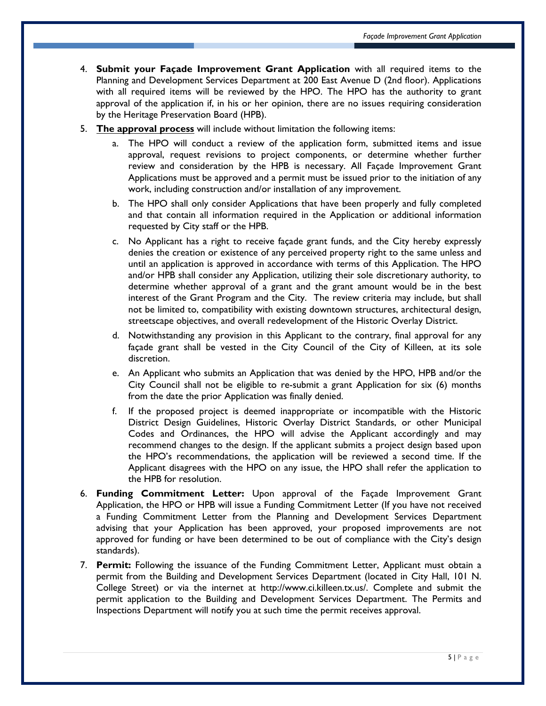- 4. **Submit your Façade Improvement Grant Application** with all required items to the Planning and Development Services Department at 200 East Avenue D (2nd floor). Applications with all required items will be reviewed by the HPO. The HPO has the authority to grant approval of the application if, in his or her opinion, there are no issues requiring consideration by the Heritage Preservation Board (HPB).
- 5. **The approval process** will include without limitation the following items:
	- a. The HPO will conduct a review of the application form, submitted items and issue approval, request revisions to project components, or determine whether further review and consideration by the HPB is necessary. All Façade Improvement Grant Applications must be approved and a permit must be issued prior to the initiation of any work, including construction and/or installation of any improvement.
	- b. The HPO shall only consider Applications that have been properly and fully completed and that contain all information required in the Application or additional information requested by City staff or the HPB.
	- c. No Applicant has a right to receive façade grant funds, and the City hereby expressly denies the creation or existence of any perceived property right to the same unless and until an application is approved in accordance with terms of this Application. The HPO and/or HPB shall consider any Application, utilizing their sole discretionary authority, to determine whether approval of a grant and the grant amount would be in the best interest of the Grant Program and the City. The review criteria may include, but shall not be limited to, compatibility with existing downtown structures, architectural design, streetscape objectives, and overall redevelopment of the Historic Overlay District.
	- d. Notwithstanding any provision in this Applicant to the contrary, final approval for any façade grant shall be vested in the City Council of the City of Killeen, at its sole discretion.
	- e. An Applicant who submits an Application that was denied by the HPO, HPB and/or the City Council shall not be eligible to re-submit a grant Application for six (6) months from the date the prior Application was finally denied.
	- f. If the proposed project is deemed inappropriate or incompatible with the Historic District Design Guidelines, Historic Overlay District Standards, or other Municipal Codes and Ordinances, the HPO will advise the Applicant accordingly and may recommend changes to the design. If the applicant submits a project design based upon the HPO's recommendations, the application will be reviewed a second time. If the Applicant disagrees with the HPO on any issue, the HPO shall refer the application to the HPB for resolution.
- 6. **Funding Commitment Letter:** Upon approval of the Façade Improvement Grant Application, the HPO or HPB will issue a Funding Commitment Letter (If you have not received a Funding Commitment Letter from the Planning and Development Services Department advising that your Application has been approved, your proposed improvements are not approved for funding or have been determined to be out of compliance with the City's design standards).
- 7. **Permit:** Following the issuance of the Funding Commitment Letter, Applicant must obtain a permit from the Building and Development Services Department (located in City Hall, 101 N. College Street) or via the internet at http://www.ci.killeen.tx.us/. Complete and submit the permit application to the Building and Development Services Department. The Permits and Inspections Department will notify you at such time the permit receives approval.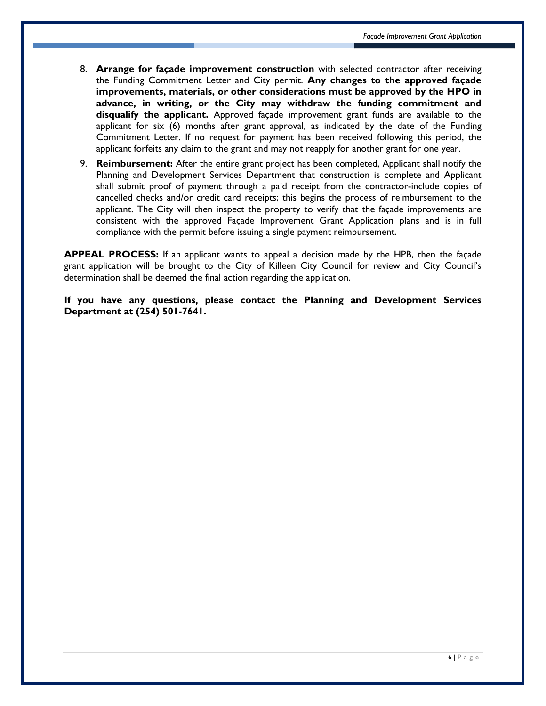- 8. **Arrange for façade improvement construction** with selected contractor after receiving the Funding Commitment Letter and City permit. **Any changes to the approved façade improvements, materials, or other considerations must be approved by the HPO in advance, in writing, or the City may withdraw the funding commitment and disqualify the applicant.** Approved façade improvement grant funds are available to the applicant for six (6) months after grant approval, as indicated by the date of the Funding Commitment Letter. If no request for payment has been received following this period, the applicant forfeits any claim to the grant and may not reapply for another grant for one year.
- 9. **Reimbursement:** After the entire grant project has been completed, Applicant shall notify the Planning and Development Services Department that construction is complete and Applicant shall submit proof of payment through a paid receipt from the contractor-include copies of cancelled checks and/or credit card receipts; this begins the process of reimbursement to the applicant. The City will then inspect the property to verify that the façade improvements are consistent with the approved Façade Improvement Grant Application plans and is in full compliance with the permit before issuing a single payment reimbursement.

**APPEAL PROCESS:** If an applicant wants to appeal a decision made by the HPB, then the façade grant application will be brought to the City of Killeen City Council for review and City Council's determination shall be deemed the final action regarding the application.

**If you have any questions, please contact the Planning and Development Services Department at (254) 501-7641.**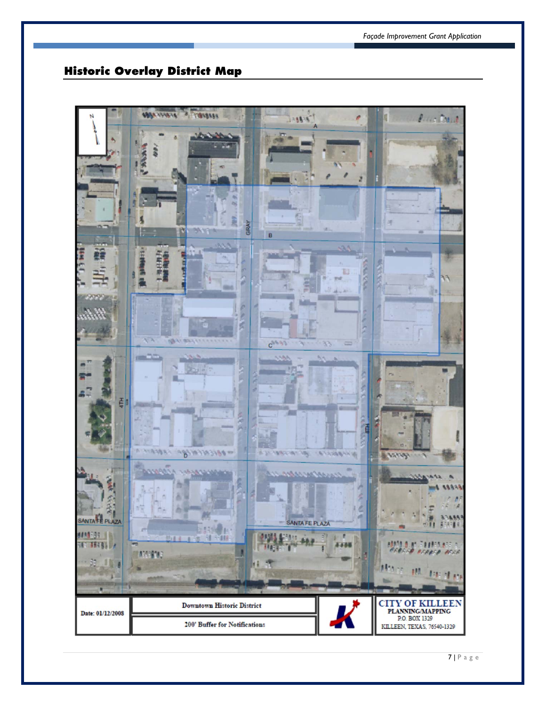## **Historic Overlay District Map**

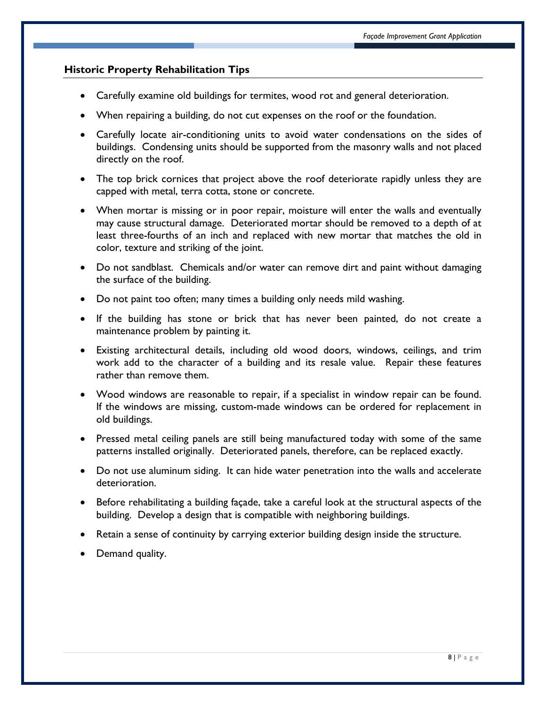#### **Historic Property Rehabilitation Tips**

- Carefully examine old buildings for termites, wood rot and general deterioration.
- When repairing a building, do not cut expenses on the roof or the foundation.
- Carefully locate air-conditioning units to avoid water condensations on the sides of buildings. Condensing units should be supported from the masonry walls and not placed directly on the roof.
- The top brick cornices that project above the roof deteriorate rapidly unless they are capped with metal, terra cotta, stone or concrete.
- When mortar is missing or in poor repair, moisture will enter the walls and eventually may cause structural damage. Deteriorated mortar should be removed to a depth of at least three-fourths of an inch and replaced with new mortar that matches the old in color, texture and striking of the joint.
- Do not sandblast. Chemicals and/or water can remove dirt and paint without damaging the surface of the building.
- Do not paint too often; many times a building only needs mild washing.
- If the building has stone or brick that has never been painted, do not create a maintenance problem by painting it.
- Existing architectural details, including old wood doors, windows, ceilings, and trim work add to the character of a building and its resale value. Repair these features rather than remove them.
- Wood windows are reasonable to repair, if a specialist in window repair can be found. If the windows are missing, custom-made windows can be ordered for replacement in old buildings.
- Pressed metal ceiling panels are still being manufactured today with some of the same patterns installed originally. Deteriorated panels, therefore, can be replaced exactly.
- Do not use aluminum siding. It can hide water penetration into the walls and accelerate deterioration.
- Before rehabilitating a building façade, take a careful look at the structural aspects of the building. Develop a design that is compatible with neighboring buildings.
- Retain a sense of continuity by carrying exterior building design inside the structure.
- Demand quality.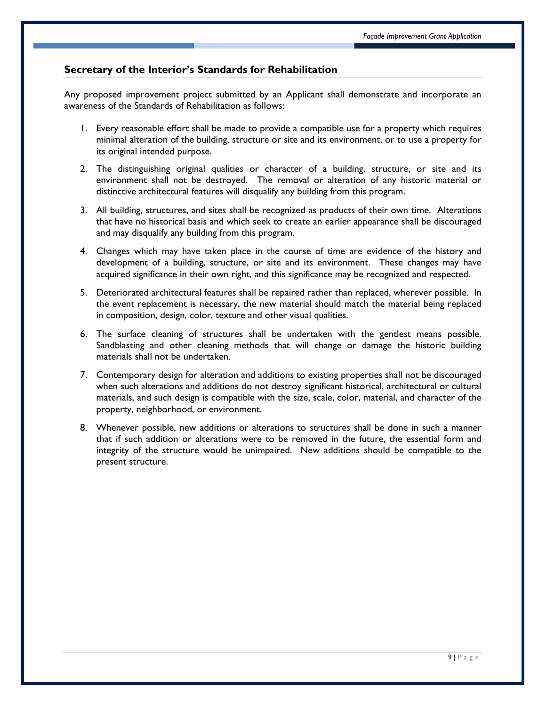#### **Secretary of the Interior's Standards for Rehabilitation**

Any proposed improvement project submitted by an Applicant shall demonstrate and incorporate an awareness of the Standards of Rehabilitation as follows:

- 1. Every reasonable effort shall be made to provide a compatible use for a property which requires minimal alteration of the building, structure or site and its environment, or to use a property for its original intended purpose.
- 2. The distinguishing original qualities or character of a building, structure, or site and its environment shall not be destroyed. The removal or alteration of any historic material or distinctive architectural features will disqualify any building from this program.
- 3. All building, structures, and sites shall be recognized as products of their own time. Alterations that have no historical basis and which seek to create an earlier appearance shall be discouraged and may disqualify any building from this program.
- 4. Changes which may have taken place in the course of time are evidence of the history and development of a building, structure, or site and its environment. These changes may have acquired significance in their own right, and this significance may be recognized and respected.
- 5. Deteriorated architectural features shall be repaired rather than replaced, wherever possible. In the event replacement is necessary, the new material should match the material being replaced in composition, design, color, texture and other visual qualities.
- 6. The surface cleaning of structures shall be undertaken with the gentlest means possible. Sandblasting and other cleaning methods that will change or damage the historic building materials shall not be undertaken.
- 7. Contemporary design for alteration and additions to existing properties shall not be discouraged when such alterations and additions do not destroy significant historical, architectural or cultural materials, and such design is compatible with the size, scale, color, material, and character of the property, neighborhood, or environment.
- 8. Whenever possible, new additions or alterations to structures shall be done in such a manner that if such addition or alterations were to be removed in the future, the essential form and integrity of the structure would be unimpaired. New additions should be compatible to the present structure.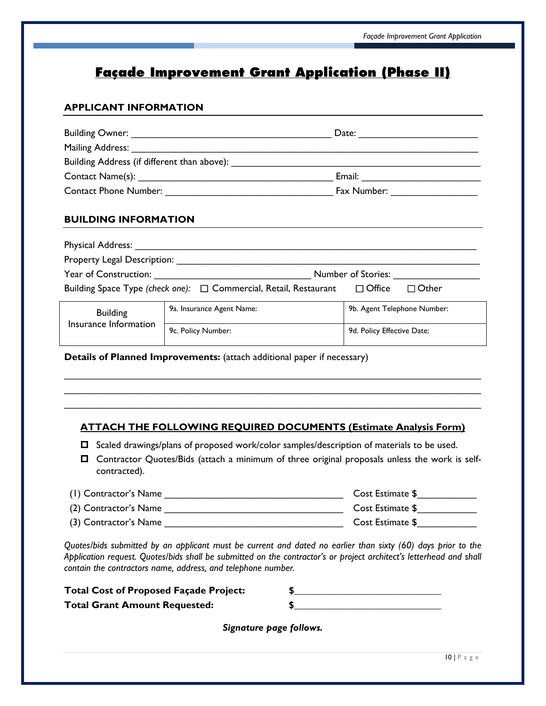# **Façade Improvement Grant Application (Phase II)**

#### **APPLICANT INFORMATION**

| Building Owner: _________________________                                                                                                                                                                                      | Date:                                                                                                                                                                                                                          |
|--------------------------------------------------------------------------------------------------------------------------------------------------------------------------------------------------------------------------------|--------------------------------------------------------------------------------------------------------------------------------------------------------------------------------------------------------------------------------|
| Mailing Address: Note that the most contained the most contained to the most contained the most contained to the most contained the most contained that the most contained the most contained the most contained the most cont |                                                                                                                                                                                                                                |
| Building Address (if different than above):                                                                                                                                                                                    |                                                                                                                                                                                                                                |
|                                                                                                                                                                                                                                | Email:                                                                                                                                                                                                                         |
| <b>Contact Phone Number:</b>                                                                                                                                                                                                   | Fax Number: The Management of the Second State of the Second State of the Second State of the Second State of the Second State of the Second State of the Second State of the Second State of the Second State of the Second S |

#### **BUILDING INFORMATION**

| <b>Physical Address:</b>    |                                                                   |                               |
|-----------------------------|-------------------------------------------------------------------|-------------------------------|
| Property Legal Description: |                                                                   |                               |
| Year of Construction:       |                                                                   | Number of Stories:            |
|                             | Building Space Type (check one): □ Commercial, Retail, Restaurant | $\Box$ Office<br>$\Box$ Other |
| <b>Building</b>             | 9a. Insurance Agent Name:                                         | 9b. Agent Telephone Number:   |
| Insurance Information       |                                                                   |                               |

9c. Policy Number: 2012 19d. Policy Effective Date:

**Details of Planned Improvements:** (attach additional paper if necessary)

#### **ATTACH THE FOLLOWING REQUIRED DOCUMENTS (Estimate Analysis Form)**

 $\_$  ,  $\_$  ,  $\_$  ,  $\_$  ,  $\_$  ,  $\_$  ,  $\_$  ,  $\_$  ,  $\_$  ,  $\_$  ,  $\_$  ,  $\_$  ,  $\_$  ,  $\_$  ,  $\_$  ,  $\_$  ,  $\_$  ,  $\_$  ,  $\_$  ,  $\_$  ,  $\_$  ,  $\_$  ,  $\_$  ,  $\_$  ,  $\_$  ,  $\_$  ,  $\_$  ,  $\_$  ,  $\_$  ,  $\_$  ,  $\_$  ,  $\_$  ,  $\_$  ,  $\_$  ,  $\_$  ,  $\_$  ,  $\_$  ,  $\mathcal{L}_\text{max}$  and  $\mathcal{L}_\text{max}$  and  $\mathcal{L}_\text{max}$  and  $\mathcal{L}_\text{max}$  and  $\mathcal{L}_\text{max}$  and  $\mathcal{L}_\text{max}$  $\mathcal{L}_\text{max}$  and  $\mathcal{L}_\text{max}$  and  $\mathcal{L}_\text{max}$  and  $\mathcal{L}_\text{max}$  and  $\mathcal{L}_\text{max}$  and  $\mathcal{L}_\text{max}$ 

- $\Box$  Scaled drawings/plans of proposed work/color samples/description of materials to be used.
- Contractor Quotes/Bids (attach a minimum of three original proposals unless the work is selfcontracted).

| (1) Contractor's Name | Cost Estimate \$ |
|-----------------------|------------------|
| (2) Contractor's Name | Cost Estimate \$ |
| (3) Contractor's Name | Cost Estimate \$ |

*Quotes/bids submitted by an applicant must be current and dated no earlier than sixty (60) days prior to the Application request. Quotes/bids shall be submitted on the contractor's or project architect's letterhead and shall contain the contractors name, address, and telephone number.* 

| <b>Total Cost of Proposed Façade Project:</b> |  |
|-----------------------------------------------|--|
| <b>Total Grant Amount Requested:</b>          |  |

*Signature page follows.*